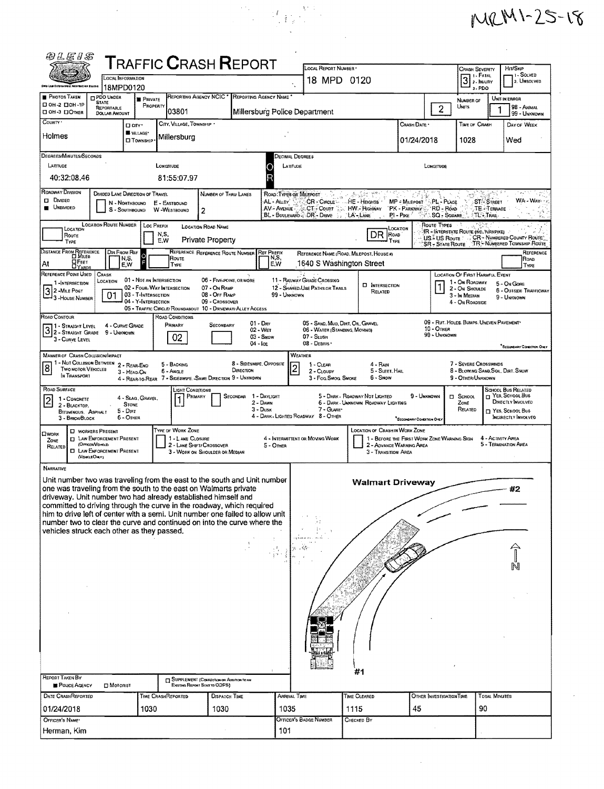## MRM1-25-18

 $\frac{1}{2}$ 

 $\hat{\mathcal{A}}$ 

 $\label{eq:2.1} \frac{1}{2} \sum_{i=1}^n \frac{1}{2} \sum_{j=1}^n \frac{1}{2} \sum_{j=1}^n \frac{1}{2} \sum_{j=1}^n \frac{1}{2} \sum_{j=1}^n \frac{1}{2} \sum_{j=1}^n \frac{1}{2} \sum_{j=1}^n \frac{1}{2} \sum_{j=1}^n \frac{1}{2} \sum_{j=1}^n \frac{1}{2} \sum_{j=1}^n \frac{1}{2} \sum_{j=1}^n \frac{1}{2} \sum_{j=1}^n \frac{1}{2} \sum_{j=1}^n \frac{$ 

| <i>@LEIS</i>                                                                                                                                                                                                                                                                                                                                                                                                                                                                                                         |                                                                       | ${\sf T}$ RAFFIC ${\sf C}$ RASH ${\sf R}$ EPORT                                                                                                                    |                                                                    |                                                                             |                                                              |                                                     | LOCAL REPORT NUMBER *                                                                           |                                                                                          |                                                   |                                                                    | Crash Severity                                                                  |                                              | HIT/SKIP                                                             |
|----------------------------------------------------------------------------------------------------------------------------------------------------------------------------------------------------------------------------------------------------------------------------------------------------------------------------------------------------------------------------------------------------------------------------------------------------------------------------------------------------------------------|-----------------------------------------------------------------------|--------------------------------------------------------------------------------------------------------------------------------------------------------------------|--------------------------------------------------------------------|-----------------------------------------------------------------------------|--------------------------------------------------------------|-----------------------------------------------------|-------------------------------------------------------------------------------------------------|------------------------------------------------------------------------------------------|---------------------------------------------------|--------------------------------------------------------------------|---------------------------------------------------------------------------------|----------------------------------------------|----------------------------------------------------------------------|
|                                                                                                                                                                                                                                                                                                                                                                                                                                                                                                                      | LOCAL INFORMATION                                                     |                                                                                                                                                                    |                                                                    |                                                                             |                                                              |                                                     | 18 MPD 0120                                                                                     |                                                                                          |                                                   |                                                                    | 1 - FATAL<br>$3$ $\cdot$ FAIAL                                                  |                                              | 1 - SOLVED<br>2. Unsolved                                            |
| Ohio Leg Estorczonal telermatien Bystant<br><b>PHOTOS TAKEN</b>                                                                                                                                                                                                                                                                                                                                                                                                                                                      | 18MPD0120<br><b>DPDO UNDER</b>                                        | <b>PRIVATE</b>                                                                                                                                                     |                                                                    | REPORTING AGENCY NCIC * REPORTING AGENCY NAME                               |                                                              |                                                     |                                                                                                 |                                                                                          |                                                   |                                                                    | a-PDO                                                                           |                                              | UNIT IN ERROR                                                        |
| □ он -2 □ он -1Р<br>⊡ ОН-З ⊡Отнея                                                                                                                                                                                                                                                                                                                                                                                                                                                                                    | <b>STATE</b><br>REPORTABLE                                            | PROPERTY                                                                                                                                                           | 03801                                                              |                                                                             |                                                              | Millersburg Police Department                       |                                                                                                 |                                                                                          |                                                   | $\overline{2}$                                                     | NUMBER OF<br><b>UNITS</b>                                                       |                                              | 98 - Animal                                                          |
| COUNTY '                                                                                                                                                                                                                                                                                                                                                                                                                                                                                                             | <b>DOLLAR AMOUNT</b><br>D arv ·                                       |                                                                                                                                                                    | CITY, VILLAGE, TOWNSHIP .                                          |                                                                             |                                                              |                                                     |                                                                                                 |                                                                                          | CRASH DATE *                                      |                                                                    | <b>TIME OF CRASH</b>                                                            |                                              | 99 - UNKNOWN<br>DAY OF WEEK                                          |
| Holmes                                                                                                                                                                                                                                                                                                                                                                                                                                                                                                               | <b>WILLAGE*</b>                                                       | <b>O</b> TOWNSHIP                                                                                                                                                  | Millersburg                                                        |                                                                             |                                                              |                                                     |                                                                                                 |                                                                                          | 01/24/2018                                        |                                                                    | 1028                                                                            |                                              | Wed                                                                  |
| DEGREES/MINUTES/SECONDS                                                                                                                                                                                                                                                                                                                                                                                                                                                                                              |                                                                       |                                                                                                                                                                    |                                                                    |                                                                             |                                                              | Decimal Degrees                                     |                                                                                                 |                                                                                          |                                                   |                                                                    |                                                                                 |                                              |                                                                      |
| LATITUDE                                                                                                                                                                                                                                                                                                                                                                                                                                                                                                             |                                                                       | LONGITUDE                                                                                                                                                          |                                                                    |                                                                             |                                                              | LARTUDE                                             |                                                                                                 |                                                                                          |                                                   | LONGITUDE                                                          |                                                                                 |                                              |                                                                      |
| 40:32:08.46                                                                                                                                                                                                                                                                                                                                                                                                                                                                                                          |                                                                       |                                                                                                                                                                    | 81:55:07.97                                                        |                                                                             |                                                              |                                                     |                                                                                                 |                                                                                          |                                                   |                                                                    |                                                                                 |                                              |                                                                      |
| ROADWAY DIVISION<br>$\square$ D <sub>MDED</sub><br><b>UNDIVIDED</b>                                                                                                                                                                                                                                                                                                                                                                                                                                                  | DIVIDED LANE DIRECTION OF TRAVEL<br>N - NORTHBOUND<br>S - SOUTHBOUND  | E - EASTBOUND<br>W-WESTBOUND                                                                                                                                       |                                                                    | NUMBER OF THRU LANES<br>2                                                   |                                                              | ROAD TYPES OR MILEPOST<br>AL - ALLEY<br>AV - AVENUE | BL - BOULEVARD - DR - DRIVE                                                                     | - 赤陰阿智"<br>CR - CIRCLE  HE - HEIGHTS<br>CT - Court No. HW - Highway<br>LA-LANE           | MP - MILEPOST<br><b>PK - PARKWAY</b><br>PI - Pike | PL - PLACE<br>RD - Road<br><b>SQ - SQUARE</b>                      |                                                                                 | <b>ST-STREET</b><br>TE - TERRACE<br>TL TRAIL | WA - Way                                                             |
| LOCATION<br>Route<br>TYPE                                                                                                                                                                                                                                                                                                                                                                                                                                                                                            | <b>LOCATION ROUTE NUMBER</b>                                          | LOC PREFIX<br>N,S,<br>E,W                                                                                                                                          |                                                                    | <b>LOCATION ROAD NAME</b><br><b>Private Property</b>                        |                                                              |                                                     |                                                                                                 | $DR$ $P^{CAD}$<br>TYPE                                                                   | LOCATION                                          | ROUTE TYPES<br>US <sup>2</sup> US ROUTE<br><b>SR - STATE ROUTE</b> | IR - INTERSTATE ROUTE (INC., TURNPIKE)                                          |                                              | CR - NUMBERED COUNTY ROUTE:<br>TR-NUMBERED TOWNSHIP ROUTE            |
| DISTANCE FROM REFERENCE                                                                                                                                                                                                                                                                                                                                                                                                                                                                                              | DIR FROM REF<br>N,S,                                                  | lo<br>F                                                                                                                                                            | ROUTE                                                              | REFERENCE REFERENCE ROUTE NUMBER REF PREFIX                                 |                                                              | N,S,                                                |                                                                                                 | REFERENCE NAME (ROAD, MILEPOST, HOUSE #)                                                 |                                                   |                                                                    |                                                                                 |                                              | REFERENCE<br>Road                                                    |
| <b>OFEET</b><br>DYARDS<br>At<br>REFERENCE POINT USED                                                                                                                                                                                                                                                                                                                                                                                                                                                                 | E,W<br><b>CRASH</b>                                                   |                                                                                                                                                                    | TYPE                                                               |                                                                             |                                                              | E.W                                                 |                                                                                                 | 1640 S Washington Street                                                                 |                                                   |                                                                    | LOCATION OF FIRST HARMFUL EVENT                                                 |                                              | TYPE                                                                 |
| 1 - INTERSECTION<br><u>3</u><br>2 -MILE POST<br>- 3 - House Number                                                                                                                                                                                                                                                                                                                                                                                                                                                   | LOCATION<br>01                                                        | 01 - NOT AN INTERSECTION<br>02 - FOUR-WAY INTERSECTION<br>03 - T-Intersection<br>04 - Y-INTERSECTION<br>05 - TRAFFIC CIRCLE/ROUNDABOUT 10 - DRIVEWAY/ ALLEY ACCESS |                                                                    | 06 - FIVE-POINT, OR MORE<br>07 - On RAMP<br>08 - OFF RAMP<br>09 - Crossover |                                                              | 99 - UNKNOWN                                        | 11 - RAILWAY GRADE CROSSING<br>12 - SHARED-USE PATHS OR TRAILS                                  | <b>D</b> INTERSECTION<br>RELATED                                                         |                                                   |                                                                    | 1 - On ROADWAY<br>2 - ON SHOULDE<br>3 - In Median<br>4 - On ROADSIDE            |                                              | 5 - On Gone<br>6 - OUTSIDE TRAFFICWAY<br>9 - Unknown                 |
| ROAD CONTOUR<br>71 - Straight Level<br>3 - STRAIGHT LEVEL 4 - CURVE CAR<br>3 2 - STRAIGHT GRADE 9 - UNKNOWN<br>3 - CURVE LEVEL                                                                                                                                                                                                                                                                                                                                                                                       | 4 - CURVE GRADE                                                       |                                                                                                                                                                    | ROAD CONDITIONS<br>PRIMARY<br>02                                   | SECONDARY                                                                   | $01 - \text{Drv}$<br>$02 - Wer$<br>$03 -$ Snow<br>$04 -$ For |                                                     | 05 - SAND, MUD, DIRT, OIL, GRAVEL<br>06 - WATER (STANDING, MOVING)<br>07 - SLUSH<br>08 - DEBRIS |                                                                                          |                                                   | 10 - Отнев<br>99 - UNKNOWN                                         | 09 - RUT. HOLES. BUMPS. UNEVEN PAVEMENT*                                        |                                              | <sup>*</sup> SECONDARY CONDITION ONLY                                |
| <b>MANNER OF CRASH COLLISION/MPACT</b><br>1 - Not Collision Between 2 - Rear-End<br>$\boxed{8}$<br>TWO MOTOR VEHICLES<br>IN TRANSPORT                                                                                                                                                                                                                                                                                                                                                                                | 3 - HEAD-ON                                                           | 4 - REAR-TO-REAR 7 - SIDESWIPE.-SAME DIRECTION 9 - UNKNOWN                                                                                                         | 5 - BACKING<br>6 - Angle                                           |                                                                             | 8 - Sideswipe, Opposite<br>DIRECTION                         | WEATHER<br>$\overline{\mathbf{c}}$                  | $1 - C$ LEAR<br>2 - CLOUDY<br>3 - Fog.Smog. Smoke                                               | 4 - Rain<br>5 - Sleet, Hail<br>6 - Snow                                                  |                                                   |                                                                    | 7 - SEVERE CROSSWINDS<br>8 - BLOWING SAND SOIL, DIRT. SNOW<br>9 - OTHER/UNKNOWN |                                              |                                                                      |
| ROAD SURFACE                                                                                                                                                                                                                                                                                                                                                                                                                                                                                                         |                                                                       |                                                                                                                                                                    | LIGHT CONDITIONS<br>PRIMARY                                        |                                                                             | SECONDAR 1 - DAYLIGHT                                        |                                                     |                                                                                                 | 5 - DARK - ROADWAY NOT LIGHTED                                                           | 9 - Unknown                                       |                                                                    | <b>D</b> SCHOOL                                                                 |                                              | SCHOOL BUS RELATED<br>T YES. SCHOOL BUS                              |
| 1 - CONCRETE<br>$\vert 2 \vert$<br>2 - BLACKTOP.<br>BITUMINOUS, ASPHALT<br>3 - BRICK/BLOCK                                                                                                                                                                                                                                                                                                                                                                                                                           | 4 - Slag, Gravel,<br><b>STONE</b><br>5 - Derr<br>$6 -$ OTHER          |                                                                                                                                                                    |                                                                    |                                                                             | 2 - DAWN<br>$3 - D$ usk                                      | 4 - DARK - LIGHTED ROADWAY 8 - OTHER                | 7 - GLAREY                                                                                      | 6 - DARK - UNKNOWN ROADWAY LIGHTING                                                      | SECONDARY CONDITION ONLY                          |                                                                    | ZONE<br>RELATED                                                                 |                                              | <b>DIRECTLY INVOLVED</b><br>m Yes, School Bus<br>INDIRECTLY INVOLVED |
| <b>D</b> WORKERS PRESENT<br><b>CIWORK</b><br>ZONE<br>(OrreenVencen<br>RELATED<br>(VEHRUEOHLY)                                                                                                                                                                                                                                                                                                                                                                                                                        | <b>ET LAW ENFORCEMENT PRESENT</b><br><b>C LAW ENFORCEMENT PRESENT</b> |                                                                                                                                                                    | TYPE OF WORK ZONE<br>1 - LANE CLOSURE<br>2 - LANE SHIFT/ CROSSOVER | 3 - WORK ON SHOULDER OR MEDIAN                                              |                                                              | 4 - INTERMITTENT OR MOVING WORK<br>5 - Other        |                                                                                                 | <b>LOCATION OF CRASH IN WORK ZONE</b><br>2 - ADVANCE WARNING AREA<br>3 - Transition Area | 1 - BEFORE THE FIRST WORK ZONE WARNING SIGN       |                                                                    |                                                                                 | 4 - ACTIVITY AREA                            | 5 - TERMINATION AREA                                                 |
| <b>NARRATIVE</b><br>Unit number two was traveling from the east to the south and Unit number<br>one was traveling from the south to the east on Walmarts private<br>driveway. Unit number two had already established himself and<br>committed to driving through the curve in the roadway, which required<br>him to drive left of center with a semi. Unit number one failed to allow unit<br>number two to clear the curve and continued on into the curve where the<br>vehicles struck each other as they passed. |                                                                       |                                                                                                                                                                    |                                                                    |                                                                             |                                                              |                                                     |                                                                                                 | <b>Walmart Driveway</b>                                                                  |                                                   |                                                                    |                                                                                 |                                              | #2                                                                   |
|                                                                                                                                                                                                                                                                                                                                                                                                                                                                                                                      |                                                                       |                                                                                                                                                                    |                                                                    |                                                                             |                                                              |                                                     |                                                                                                 |                                                                                          |                                                   |                                                                    |                                                                                 |                                              |                                                                      |
| <b>REPORT TAKEN BY</b>                                                                                                                                                                                                                                                                                                                                                                                                                                                                                               |                                                                       |                                                                                                                                                                    |                                                                    |                                                                             |                                                              |                                                     |                                                                                                 | #1                                                                                       |                                                   |                                                                    |                                                                                 |                                              |                                                                      |
| <b>POLICE AGENCY</b>                                                                                                                                                                                                                                                                                                                                                                                                                                                                                                 | $\square$ Motorist                                                    |                                                                                                                                                                    | Existing Report Sent to ODPS)                                      | SUPPLEMENT (CORRECTION OR ADDITION TO AN                                    |                                                              |                                                     |                                                                                                 |                                                                                          |                                                   |                                                                    |                                                                                 |                                              |                                                                      |
| DATE CRASHREPORTED                                                                                                                                                                                                                                                                                                                                                                                                                                                                                                   |                                                                       | <b>TIME CRASHREPORTED</b>                                                                                                                                          |                                                                    | <b>DISPATCH TIME</b>                                                        |                                                              | Arrival Time                                        |                                                                                                 | TIME CLEARED                                                                             |                                                   | OTHER INVESTIGATION TIME                                           |                                                                                 | <b>TOTAL MINUTES</b>                         |                                                                      |
| 01/24/2018                                                                                                                                                                                                                                                                                                                                                                                                                                                                                                           |                                                                       | 1030                                                                                                                                                               |                                                                    | 1030                                                                        |                                                              | 1035                                                |                                                                                                 | 1115                                                                                     | 45                                                |                                                                    | 90                                                                              |                                              |                                                                      |
| OFFICER'S NAME*<br>Herman, Kim                                                                                                                                                                                                                                                                                                                                                                                                                                                                                       |                                                                       |                                                                                                                                                                    |                                                                    |                                                                             |                                                              | 101                                                 | OFFICER'S BADGE NUMBER                                                                          | CHECKED BY                                                                               |                                                   |                                                                    |                                                                                 |                                              |                                                                      |

 $\frac{1}{\sqrt{2}}$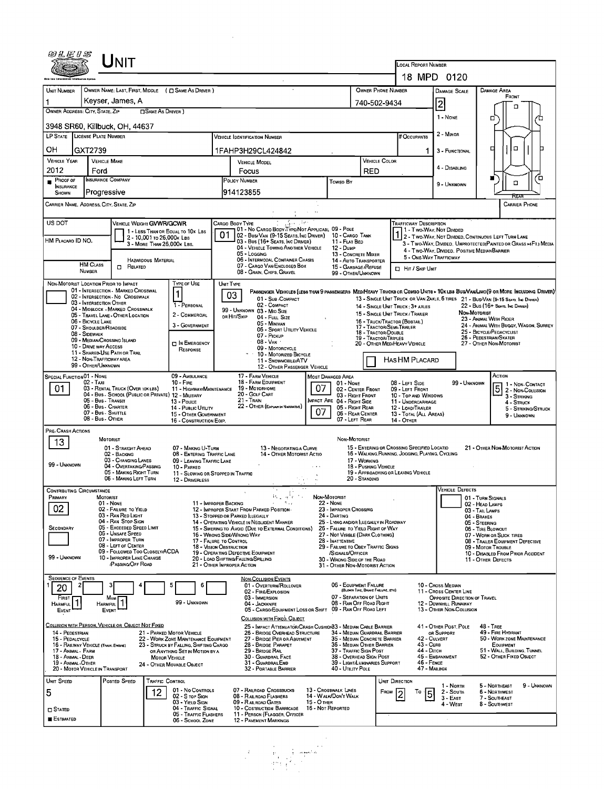| UNIT                                                                                                                                                          |                                                                                                         |                                                                                    |                            |                                                                          |                                                                               |                                                                                                                                                                                                  |                    |                                                                               |                                                                                  | LOCAL REPORT NUMBER                                                                                       |                                                                                                                                   |                                                                                                               |                                                                                                                              |  |  |
|---------------------------------------------------------------------------------------------------------------------------------------------------------------|---------------------------------------------------------------------------------------------------------|------------------------------------------------------------------------------------|----------------------------|--------------------------------------------------------------------------|-------------------------------------------------------------------------------|--------------------------------------------------------------------------------------------------------------------------------------------------------------------------------------------------|--------------------|-------------------------------------------------------------------------------|----------------------------------------------------------------------------------|-----------------------------------------------------------------------------------------------------------|-----------------------------------------------------------------------------------------------------------------------------------|---------------------------------------------------------------------------------------------------------------|------------------------------------------------------------------------------------------------------------------------------|--|--|
|                                                                                                                                                               |                                                                                                         |                                                                                    |                            |                                                                          |                                                                               |                                                                                                                                                                                                  |                    |                                                                               |                                                                                  |                                                                                                           |                                                                                                                                   | 18 MPD 0120                                                                                                   |                                                                                                                              |  |  |
| <b>UNIT NUMBER</b><br>OWNER NAME: LAST, FIRST, MIDDLE ( C SAME AS DRIVER )<br>Keyser, James, A<br>1                                                           |                                                                                                         |                                                                                    |                            |                                                                          |                                                                               |                                                                                                                                                                                                  |                    |                                                                               | OWNER PHONE NUMBER                                                               | <b>DAMAGE AREA</b><br><b>DAMAGE SCALE</b><br>FRONT                                                        |                                                                                                                                   |                                                                                                               |                                                                                                                              |  |  |
| OWNER ADDRESS: CITY, STATE, ZIP<br>SAME AS DRIVER)                                                                                                            |                                                                                                         |                                                                                    |                            |                                                                          |                                                                               | 740-502-9434                                                                                                                                                                                     |                    |                                                                               |                                                                                  |                                                                                                           |                                                                                                                                   | 2 <br>1 - None                                                                                                | □                                                                                                                            |  |  |
| 3948 SR60, Killbuck, OH, 44637                                                                                                                                |                                                                                                         |                                                                                    |                            |                                                                          |                                                                               |                                                                                                                                                                                                  |                    |                                                                               |                                                                                  |                                                                                                           |                                                                                                                                   | □                                                                                                             |                                                                                                                              |  |  |
| LP STATE LICENSE PLATE NUMBER                                                                                                                                 |                                                                                                         |                                                                                    |                            |                                                                          |                                                                               | <b>VEHICLE IDENTIFICATION NUMBER</b>                                                                                                                                                             |                    |                                                                               |                                                                                  |                                                                                                           | <b>HOCCUPANTS</b>                                                                                                                 | 2 - Minor                                                                                                     |                                                                                                                              |  |  |
| ОH<br>GXT2739                                                                                                                                                 |                                                                                                         |                                                                                    |                            |                                                                          | 1FAHP3H29CL424842                                                             |                                                                                                                                                                                                  |                    |                                                                               |                                                                                  |                                                                                                           | 1                                                                                                                                 | 3 - FUNCTIONAL                                                                                                | □<br>▫                                                                                                                       |  |  |
| VEHICLE YEAR<br>2012                                                                                                                                          | <b>VEHICLE MAKE</b><br>Ford                                                                             |                                                                                    |                            |                                                                          |                                                                               | <b>VEHICLE MODEL</b><br>Focus                                                                                                                                                                    |                    |                                                                               | <b>RED</b>                                                                       | <b>VEHICLE COLOR</b>                                                                                      |                                                                                                                                   | 4 - DISABLING                                                                                                 |                                                                                                                              |  |  |
| PROOF OF                                                                                                                                                      | <b>INSURANCE COMPANY</b>                                                                                |                                                                                    |                            |                                                                          |                                                                               | POLICY NUMBER                                                                                                                                                                                    |                    | Towgo By                                                                      |                                                                                  |                                                                                                           |                                                                                                                                   | 9 - UNKNOWN                                                                                                   | ם<br>□                                                                                                                       |  |  |
| <b>NSURANCE</b><br>Progressive<br>SHOWN                                                                                                                       |                                                                                                         |                                                                                    |                            |                                                                          | 914123855                                                                     |                                                                                                                                                                                                  |                    |                                                                               |                                                                                  |                                                                                                           |                                                                                                                                   |                                                                                                               |                                                                                                                              |  |  |
| CARRIER NAME, ADDRESS, CITY, STATE, ZIP                                                                                                                       |                                                                                                         |                                                                                    |                            |                                                                          |                                                                               |                                                                                                                                                                                                  |                    |                                                                               |                                                                                  |                                                                                                           |                                                                                                                                   |                                                                                                               | <b>CARRIER PHONE</b>                                                                                                         |  |  |
| US DOT                                                                                                                                                        |                                                                                                         | VEHICLE WEIGHT GVWR/GCWR                                                           |                            |                                                                          |                                                                               | DY TYPE<br>01 - No Cargo Body Type/Not Applicabl 09 - Pole<br>CARGO BODY TYPE                                                                                                                    |                    |                                                                               |                                                                                  |                                                                                                           | <b>TRAFFICWAY DESCRIPTION</b>                                                                                                     |                                                                                                               |                                                                                                                              |  |  |
| HM PLACARD ID NO.                                                                                                                                             |                                                                                                         |                                                                                    | 2 - 10,001 To 26,000 k LBS | 1 - LESS THAN OR EQUAL TO 10K LBS                                        | 01                                                                            | 02 - Bus/Van (9-15 Seats, Inc Driver) 10 - Cargo Tank                                                                                                                                            |                    |                                                                               |                                                                                  |                                                                                                           | 1 - Two-Way, Not Divided                                                                                                          |                                                                                                               | 2 - Two-Way, Not Divided, Continuous Left Turn Lane                                                                          |  |  |
|                                                                                                                                                               |                                                                                                         |                                                                                    | 3 - MORE THAN 26,000K LBS. |                                                                          |                                                                               | 03 - Bus (16+ Seats, Inc Driver)<br>04 - VEHICLE TOWING ANOTHER VEHICLE<br>05 - Logging                                                                                                          |                    | 11 - FLAT BED<br><b>12 - DuмP</b>                                             |                                                                                  |                                                                                                           |                                                                                                                                   | 3 - Two-Way, DMDED, UNPROTECTED (PAINTED OR GRASS >4FT.) MEDIA<br>4 - Two-Way, DMDED, POSITIVE MEDIAN BARRIER |                                                                                                                              |  |  |
|                                                                                                                                                               | <b>HM CLASS</b>                                                                                         | RELATED                                                                            | <b>HAZARDOUS MATERIAL</b>  |                                                                          | 06 - INTERMODAL CONTAINER CHASIS<br>07 - CARGO VAN/ENCLOSED BOX               |                                                                                                                                                                                                  |                    |                                                                               | 13 - CONCRETE MIXER<br><b>14 - AUTO TRANSPORTER</b><br>15 - GARBAGE / REFUSE     |                                                                                                           |                                                                                                                                   | 5 - ONE-WAY TRAFFICWAY                                                                                        |                                                                                                                              |  |  |
|                                                                                                                                                               | <b>NUMBER</b>                                                                                           |                                                                                    |                            |                                                                          |                                                                               | 08 - Grain, Chips, Gravel                                                                                                                                                                        |                    | 99 - OTHER/UNKNOWN                                                            |                                                                                  |                                                                                                           | <b>D</b> HIT / SKIP UNIT                                                                                                          |                                                                                                               |                                                                                                                              |  |  |
| NON-MOTORIST LOCATION PRIOR TO IMPACT                                                                                                                         |                                                                                                         | 01 - INTERSECTION - MARKED CROSSWAL                                                |                            | TYPE OF USE<br>1                                                         | UNIT TYPE                                                                     | 03                                                                                                                                                                                               |                    |                                                                               |                                                                                  |                                                                                                           |                                                                                                                                   |                                                                                                               | PASSENGER VEHICLES (LESS THAN 9 PASSENGERS MED/HEAVY TRUCKS OR COMBO UNITS > 10KLES BUS/VAM/LIMO(9 OR MORE INCLUDING DRIVER) |  |  |
|                                                                                                                                                               | 03 - INTERSECTION OTHER                                                                                 | 02 - INTERSECTION - NO CROSSWALK<br>04 - MIOBLOCK - MARKED CROSSWALK               |                            | 1 - PERSONAL                                                             |                                                                               | 01 - Sub-COMPACT<br>02 - COMPACT                                                                                                                                                                 |                    |                                                                               |                                                                                  |                                                                                                           | 14 - SINGLE UNIT TRUCK: 3+ AXLES                                                                                                  |                                                                                                               | 13 - SINGLE UNIT TRUCK OR VAN 2AXLE, 6 TIRES 21 - BUS/VAN (9-15 SEATS, INC DRIVER)<br>22 - Bus (16+ Seats, Inc Driver)       |  |  |
|                                                                                                                                                               | 06 - BICYCLE LANE                                                                                       | 05 - TRAVEL LANE - OTHER LOCATION                                                  |                            | 2 - COMMERCIAL                                                           |                                                                               | 99 - UNKNOWN 03 - MID SIZE<br>ов Ни/Sки<br>04 - FULL SIZE                                                                                                                                        |                    |                                                                               |                                                                                  |                                                                                                           | 15 - SINGLE UNIT TRUCK / TRAILER                                                                                                  | NON-MOTORIST<br>23 - ANIMAL WITH RIDER                                                                        |                                                                                                                              |  |  |
|                                                                                                                                                               | 07 - Shoulder/Roadside<br>08 - SIDEWALK                                                                 |                                                                                    |                            | 3 - GOVERNMENT                                                           | 05 - Minivan<br>06 - SPORT UTILITY VEHICLE<br>07 - Pickup                     |                                                                                                                                                                                                  |                    |                                                                               | 16 - TRUCK/TRACTOR (BOBTAIL)<br>17 - TRACTOR/SEMI-TRAILER<br>18 - TRACTOR/DOUBLE |                                                                                                           |                                                                                                                                   |                                                                                                               | 24 - ANIMAL WITH BUGGY, WAGON, SURREY<br>25 - BICYCLE/PEDACYCLIST                                                            |  |  |
|                                                                                                                                                               | 09 - MEDIAN CROSSING ISLAND<br>10 - DRIVE WAY ACCESS                                                    |                                                                                    |                            | D IN EMERGENCY<br>RESPONSE                                               | $08 - V_{AN}$<br>09 - MOTORCYCLE                                              |                                                                                                                                                                                                  |                    |                                                                               |                                                                                  | 26 - PEDESTRIAN/SKATER<br>19 - TRACTOR/TRIPLES<br>20 - OTHER MED/HEAVY VEHICLE<br>27 - OTHER NON-MOTORIST |                                                                                                                                   |                                                                                                               |                                                                                                                              |  |  |
|                                                                                                                                                               | 12 - Non-Trafficway area                                                                                | 11 - SHARED-USE PATH OR TRAIL                                                      |                            |                                                                          |                                                                               | 10 - MOTORIZED BICYCLE<br>HAS HM PLACARD<br>11 - SNOWMOBILE/ATV                                                                                                                                  |                    |                                                                               |                                                                                  |                                                                                                           |                                                                                                                                   |                                                                                                               |                                                                                                                              |  |  |
| <b>SPECIAL FUNCTION 01 - NONE</b>                                                                                                                             | 99 - OTHER/UNKNOWN                                                                                      |                                                                                    |                            | 09 - AMBULANCE                                                           |                                                                               | 12 - OTHER PASSENGER VEHICLE<br>17 - FARM VEHICLE                                                                                                                                                |                    | <b>MOST DAMAGED AREA</b>                                                      |                                                                                  |                                                                                                           |                                                                                                                                   |                                                                                                               | ACTION                                                                                                                       |  |  |
| 02 - Taxi<br>$10 -$ FIRE<br>01<br>03 - RENTAL TRUCK (OVER 10KLBS)<br>11 - HIGHWAY/MAINTENANCE                                                                 |                                                                                                         |                                                                                    |                            |                                                                          | 18 - FARM EQUIPMENT<br>01 - None<br>07<br>19 - Мотовноме<br>02 - CENTER FRONT |                                                                                                                                                                                                  |                    |                                                                               | 08 - LEFT SIDE<br>99 - UNKNOWN<br>09 - LEFT FRONT                                |                                                                                                           |                                                                                                                                   | 5 2 - Non-Contact                                                                                             |                                                                                                                              |  |  |
|                                                                                                                                                               | 05 - Bus - Transit                                                                                      |                                                                                    |                            | 04 - Bus - School (Public or Private) 12 - Military<br>13 - Pouce        |                                                                               | 20 - GOLF CART<br>03 - RIGHT FRONT<br>21 - Train<br>MPACT ARE 04 - RIGHT SIDE<br>22 - OTHER (EXPLAN IN NARRATIVE)                                                                                |                    |                                                                               | 10 - Top and Windows<br>11 - UNDERCARRIAGE                                       |                                                                                                           |                                                                                                                                   |                                                                                                               | 3 - STRIKING<br>4 - STRUCK                                                                                                   |  |  |
|                                                                                                                                                               | 06 - Bus - Charter<br>07 - Bus - SHUTTLE<br>08 - Bus - OTHER                                            |                                                                                    |                            | 14 - PUBLIC UTILITY<br>15 - OTHER GOVERNMENT                             |                                                                               | 05 - RIGHT REAR<br>07<br>06 - REAR CENTER<br>07 - LEFT REAR                                                                                                                                      |                    |                                                                               |                                                                                  |                                                                                                           | 12 - LOAD/TRAILER<br>5 - STRIKING/STRUCK<br>13 - TOTAL (ALL AREAS)<br>9 - UNKNOWN<br>14 - OTHER                                   |                                                                                                               |                                                                                                                              |  |  |
| PRE-CRASH ACTIONS                                                                                                                                             |                                                                                                         |                                                                                    |                            | 16 - CONSTRUCTION EQIP.                                                  |                                                                               |                                                                                                                                                                                                  |                    |                                                                               |                                                                                  |                                                                                                           |                                                                                                                                   |                                                                                                               |                                                                                                                              |  |  |
| 13                                                                                                                                                            | <b>MOTORIST</b>                                                                                         | 01 - STRAIGHT AHEAD                                                                |                            | 07 - MAKING U-TURN                                                       |                                                                               |                                                                                                                                                                                                  |                    | NON-MOTORIST                                                                  |                                                                                  |                                                                                                           |                                                                                                                                   |                                                                                                               |                                                                                                                              |  |  |
|                                                                                                                                                               |                                                                                                         | 02 - Backing                                                                       |                            | 08 - ENTERING TRAFFIC LANE<br>09 - LEAVING TRAFFIC LANE                  |                                                                               | <b>13 - NEGOTIATING A CURVE</b><br>14 - OTHER MOTORIST ACTIO<br>17 - WORKING                                                                                                                     |                    |                                                                               |                                                                                  |                                                                                                           | 15 - ENTERING OR CROSSING SPECIFIED LOCATIO<br>21 - OTHER NON-MOTORIST ACTION<br>16 - WALKING, RUNNING, JOGGING, PLAYING, CYCLING |                                                                                                               |                                                                                                                              |  |  |
|                                                                                                                                                               | 03 - CHANGING LANES<br>99 - UNKNOWN<br>04 - OVERTAKING/PASSING<br>10 - PARKED<br>05 - MAKING RIGHT TURN |                                                                                    |                            |                                                                          |                                                                               | 11 - SLOWING OR STOPPED IN TRAFFIC                                                                                                                                                               |                    |                                                                               |                                                                                  |                                                                                                           | 18 - PUSHING VEHICLE<br>19 - APPROACHING OR LEAVING VEHICLE                                                                       |                                                                                                               |                                                                                                                              |  |  |
|                                                                                                                                                               |                                                                                                         | 06 - MAKING LEFT TURN                                                              |                            | 12 - DRIVERLESS                                                          |                                                                               |                                                                                                                                                                                                  |                    |                                                                               | 20 - STANDING                                                                    |                                                                                                           |                                                                                                                                   |                                                                                                               |                                                                                                                              |  |  |
| CONTRIBUTING CIRCUMSTANCE<br>Primary                                                                                                                          | MOTORIST                                                                                                |                                                                                    |                            | 11 - IMPROPER BACKING                                                    |                                                                               | Paul Alie<br>s.,                                                                                                                                                                                 |                    | NON-MOTORIST                                                                  |                                                                                  |                                                                                                           |                                                                                                                                   | <b>VEHICLE DEFECTS</b>                                                                                        | 01 - TURN SIGNALS                                                                                                            |  |  |
| 02                                                                                                                                                            | 01 - NONE                                                                                               | 02 - FAILURE TO YIELD<br>03 - RAN RED LIGHT                                        |                            |                                                                          |                                                                               | 12 - IMPROPER START FROM PARKED POSITION<br>13 - Stopped or PARKED LLEGALLY                                                                                                                      |                    | <b>22 - NONE</b><br>23 - IMPROPER CROSSING<br>24 - DARTING                    |                                                                                  |                                                                                                           |                                                                                                                                   |                                                                                                               | 02 - HEAD LAMPS<br>03 - TAIL LAMPS<br>04 - Brakes                                                                            |  |  |
| SECONDARY                                                                                                                                                     |                                                                                                         | 04 - RAN STOP SIGN<br>05 - Exceeded Speed LIMIT                                    |                            |                                                                          |                                                                               | 14 - OPERATING VEHICLE IN NEGLIGENT MANNER<br>15 - Swering to Avoid (Due to External Conditions)                                                                                                 |                    | 25 - LYING AND/OR LLEGALLY IN ROADWAY<br>26 - FALURE TO YIELD RIGHT OF WAY    |                                                                                  |                                                                                                           |                                                                                                                                   |                                                                                                               | 05 - STEERING<br>06 - TIRE BLOWOUT                                                                                           |  |  |
|                                                                                                                                                               |                                                                                                         | 06 - Unsafe Speed<br>07 - IMPROPER TURN                                            |                            | 17 - FALURE TO CONTROL                                                   |                                                                               | 16 - Wrong Side/Wrong Way                                                                                                                                                                        |                    | 27 - NOT VISIBLE (DARK CLOTHING)<br>28 - INATTENTIVE                          |                                                                                  |                                                                                                           |                                                                                                                                   |                                                                                                               | 07 - WORN OR SLICK TIRES<br>08 - TRAILER EQUIPMENT DEFECTIVE                                                                 |  |  |
| 99 - UNKNOWN                                                                                                                                                  |                                                                                                         | 08 - LEFT OF CENTER<br>09 - FOLLOWED TOO CLOSELY/ACDA<br>10 - IMPROPER LANE CHANGE |                            |                                                                          |                                                                               | <b>18 - VISION OBSTRUCTION</b><br>29 - FAILURE TO OBEY TRAFFIC SIGNS<br>19 - OPERATING DEFECTIVE EQUIPMENT<br>/SIGNALS/OFFICER                                                                   |                    |                                                                               |                                                                                  |                                                                                                           |                                                                                                                                   | 09 - MOTOR TROUBLE<br>10 - DISABLED FROM PRIOR ACCIDENT                                                       |                                                                                                                              |  |  |
|                                                                                                                                                               |                                                                                                         | /PASSING/OFF ROAD                                                                  |                            |                                                                          |                                                                               | 20 - LOAD SHIFTING/FALLING/SPILLING<br>21 - OTHER IMPROPER ACTION                                                                                                                                |                    | 30 - WRONG SIDE OF THE ROAD<br>31 - OTHER NON-MOTORIST ACTION                 |                                                                                  |                                                                                                           |                                                                                                                                   |                                                                                                               | 11 - OTHER DEFECTS                                                                                                           |  |  |
| <b>SEQUENCE OF EVENTS</b><br>2                                                                                                                                |                                                                                                         |                                                                                    |                            |                                                                          |                                                                               | <b>NON-COLLISION EVENTS</b><br>01 - Overturn/Rollover                                                                                                                                            |                    | 06 - EQUIPMENT FAILURE                                                        |                                                                                  |                                                                                                           |                                                                                                                                   | 10 - Cross Median                                                                                             |                                                                                                                              |  |  |
| 20<br>First                                                                                                                                                   | Most                                                                                                    |                                                                                    |                            |                                                                          |                                                                               | 02 - FIRE/EXPLOSION<br>03 - IMMERSION                                                                                                                                                            |                    | 07 - SEPARATION OF UNITS                                                      |                                                                                  | (BLOWN TIRE, BRAKE FAILURE, ETC)                                                                          |                                                                                                                                   | 11 - Cross CENTER LINE<br>OPPOSITE DIRECTION OF TRAVEL                                                        |                                                                                                                              |  |  |
| <b>HARMFUL</b><br>EVENT                                                                                                                                       | HARMFUL<br>EVENT                                                                                        |                                                                                    |                            | 99 - UNKNOWN                                                             |                                                                               | 04 - JACKKNIFE<br>05 - CARGO/EQUIPMENT LOSS OR SHIFT 09 - RAN OFF ROAD LEFT                                                                                                                      |                    | 08 - RAN OFF ROAD RIGHT                                                       |                                                                                  |                                                                                                           |                                                                                                                                   | 12 - DOWNHILL RUNAWAY<br>13 - OTHER NON-COLLISION                                                             |                                                                                                                              |  |  |
|                                                                                                                                                               |                                                                                                         |                                                                                    |                            |                                                                          |                                                                               | COLLISION WITH FIXEO, OBJECT                                                                                                                                                                     |                    |                                                                               |                                                                                  |                                                                                                           |                                                                                                                                   | 41 - OTHER POST, POLE                                                                                         | <b>48 - TREE</b>                                                                                                             |  |  |
| COLLISION WITH PERSON, VEHICLE OR OBJECT NOT FIXED<br>14 - PEDESTRIAN<br>21 - PARKED MOTOR VEHICLE<br>15 - PEDALCYCLE<br>22 - WORK ZONE MAINTENANCE EQUIPMENT |                                                                                                         |                                                                                    |                            |                                                                          |                                                                               | 25 - IMPACT ATTENUATOR/CRASH CUSHION33 - MEDIAN CABLE BARRIER<br>26 - BRIDGE OVERHEAD STRUCTURE<br>34 - MEDIAN GUARDRAIL BARRIER<br>27 - BRIDGE PIER OR ABUTMENT<br>35 - MEDIAN CONCRETE BARRIER |                    |                                                                               |                                                                                  |                                                                                                           | 42 - CULVERT                                                                                                                      | OR SUPPORT                                                                                                    | 49 - FIRE HYDRANT<br>50 - WORK ZONE MAINTENANCE                                                                              |  |  |
| 16 - RAILWAY VEHICLE (TRAIN, ENGINE)<br>17 - Animal - Farm                                                                                                    |                                                                                                         |                                                                                    |                            | 23 - Struck by Falling, Shifting Cargo<br>OR ANYTHING SET IN MOTION BY A |                                                                               | 28 - BRIDGE PARAPET<br>29 - Bridge Rail                                                                                                                                                          |                    |                                                                               | 36 - MEDIAN OTHER BARRIER<br>37 - TRAFFIC SIGN POST                              |                                                                                                           | 43 - Curs<br>44 - Опси                                                                                                            |                                                                                                               | <b>EQUIPMENT</b><br>51 - WALL, BUILDING, TUNNEL                                                                              |  |  |
| 18 - Animal - Deer<br>19 - ANIMAL OTHER<br>20 - MOTOR VEHICLE IN TRANSPORT                                                                                    |                                                                                                         |                                                                                    | <b>MOTOR VEHICLE</b>       | 24 - OTHER MOVABLE OBJECT                                                |                                                                               | <b>30 - GUARDRAIL FACE</b><br>31 - GUARDRAIL END<br>32 - PORTABLE BARRIER                                                                                                                        |                    | 38 - Overhead Sign Post<br>39 - LIGHT/LUMINARIES SUPPORT<br>40 - UTILITY POLE |                                                                                  |                                                                                                           | 46 - FENCE<br>47 - MAILBOX                                                                                                        | 45 - EMBANKMENT                                                                                               | 52 - OTHER FIXED OBJECT                                                                                                      |  |  |
| <b>UNIT SPEED</b>                                                                                                                                             |                                                                                                         | POSTED SPEED                                                                       | Traffic Control            |                                                                          |                                                                               |                                                                                                                                                                                                  |                    |                                                                               |                                                                                  | UNIT DIRECTION                                                                                            |                                                                                                                                   |                                                                                                               |                                                                                                                              |  |  |
| 5                                                                                                                                                             |                                                                                                         |                                                                                    | 12                         | 01 - No CONTROLS<br>02 - S TOP SIGN                                      |                                                                               | 07 - RAILROAD CROSSBUCKS<br>08 - RAILROAD FLASHERS                                                                                                                                               |                    | 13 - Crosswalk Lines<br>14 - WALK/DON'T WALK                                  |                                                                                  | <b>FROM</b>                                                                                               | То                                                                                                                                | 1 - North<br>2 - South                                                                                        | 9 - UNKNOWN<br>5 - NORTHEAST<br><b>6 - NORTHWEST</b>                                                                         |  |  |
| <b>STATED</b>                                                                                                                                                 |                                                                                                         |                                                                                    |                            | 03 - Yield Sign<br>04 - TRAFFIC SIGNAL                                   |                                                                               | 09 - RAILROAD GATES<br>10 - COSTRUCTION BARRICADE                                                                                                                                                | <b>15 - O THER</b> | 16 - Not Reported                                                             |                                                                                  |                                                                                                           |                                                                                                                                   | $3 - EAST$<br>4 - West                                                                                        | 7 - SOUTHEAST<br>8 - SOUTHWEST                                                                                               |  |  |
| <b>ESTIMATED</b>                                                                                                                                              |                                                                                                         |                                                                                    |                            | 05 - TRAFFIC FLASHERS<br>06 - SCHOOL ZONE                                |                                                                               | 11 - PERSON (FLAGGER, OFFICER<br>12 - PAVEMENT MARKINGS                                                                                                                                          |                    |                                                                               |                                                                                  |                                                                                                           |                                                                                                                                   |                                                                                                               |                                                                                                                              |  |  |
|                                                                                                                                                               |                                                                                                         |                                                                                    |                            |                                                                          |                                                                               |                                                                                                                                                                                                  |                    |                                                                               |                                                                                  |                                                                                                           |                                                                                                                                   |                                                                                                               |                                                                                                                              |  |  |

 $\label{eq:2.1} \mathcal{L}_{\mathcal{A}}(x) = \mathcal{L}_{\mathcal{A}}(x) \mathcal{L}_{\mathcal{A}}(x) \mathcal{L}_{\mathcal{A}}(x)$ 

 $\label{eq:2} \begin{split} \mathcal{L} &= \left\{ \begin{array}{ll} 0 & \text{if} & \text{if} & \text{if} & \text{if} \\ 0 & \text{if} & \text{if} & \text{if} \\ 0 & \text{if} & \text{if} & \text{if} \\ 0 & \text{if} & \text{if} & \text{if} \\ 0 & \text{if} & \text{if} & \text{if} \\ 0 & \text{if} & \text{if} & \text{if} \end{array} \right. \end{split}$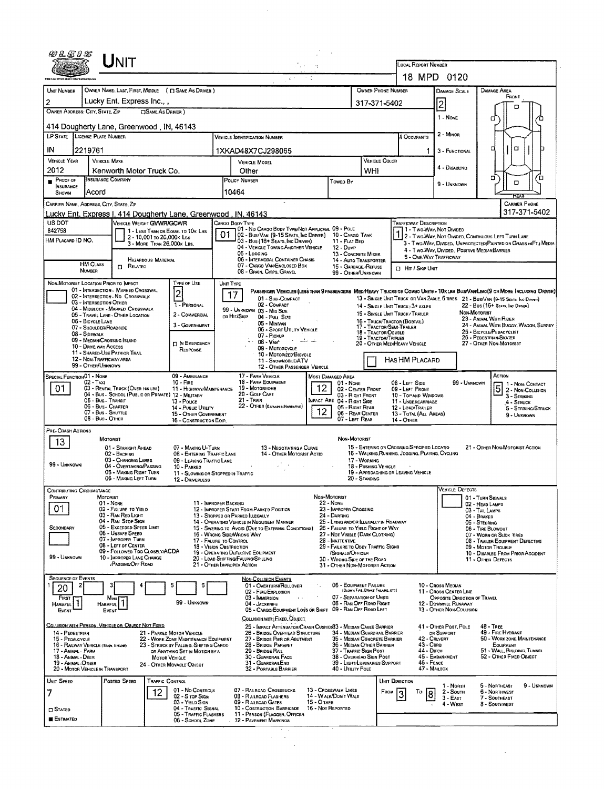|                                                                                                                                                                                                                                                                                                                                                                                                                       | <b>NIT</b>                                                               |                                                                          |                                                                                                 | Service Ap                                   |                                                                          | LOCAL REPORT NUMBER                                                                             |                                                       |                                                                                                                                                                                                                     |
|-----------------------------------------------------------------------------------------------------------------------------------------------------------------------------------------------------------------------------------------------------------------------------------------------------------------------------------------------------------------------------------------------------------------------|--------------------------------------------------------------------------|--------------------------------------------------------------------------|-------------------------------------------------------------------------------------------------|----------------------------------------------|--------------------------------------------------------------------------|-------------------------------------------------------------------------------------------------|-------------------------------------------------------|---------------------------------------------------------------------------------------------------------------------------------------------------------------------------------------------------------------------|
|                                                                                                                                                                                                                                                                                                                                                                                                                       |                                                                          |                                                                          | $\mathcal{L}^{(t)}$                                                                             |                                              |                                                                          |                                                                                                 | 18 MPD 0120                                           |                                                                                                                                                                                                                     |
| UNIT NUMBER                                                                                                                                                                                                                                                                                                                                                                                                           | OWNER NAME: LAST, FIRST, MIDDLE ( C SAME AS DRIVER )                     |                                                                          |                                                                                                 |                                              | OWNER PHONE NUMBER                                                       |                                                                                                 | DAMAGE SCALE                                          | DAMAGE AREA<br>FRONT                                                                                                                                                                                                |
| OWNER ADDRESS: CITY, STATE, ZIP                                                                                                                                                                                                                                                                                                                                                                                       | Lucky Ent. Express Inc.,<br><b>CISAME AS DRIVER</b> )                    |                                                                          |                                                                                                 |                                              | 317-371-5402                                                             |                                                                                                 | $\overline{\mathbf{c}}$                               | п                                                                                                                                                                                                                   |
|                                                                                                                                                                                                                                                                                                                                                                                                                       |                                                                          |                                                                          |                                                                                                 |                                              |                                                                          |                                                                                                 | 1 - NONE                                              | Ω<br>Έ                                                                                                                                                                                                              |
| LP STATE LICENSE PLATE NUMBER                                                                                                                                                                                                                                                                                                                                                                                         | 414 Dougherty Lane, Greenwood, IN, 46143                                 |                                                                          | <b>VEHICLE IDENTIFICATION NUMBER</b>                                                            |                                              |                                                                          | # Occupants                                                                                     | 2 - Minon                                             |                                                                                                                                                                                                                     |
| ΙN<br>2219761                                                                                                                                                                                                                                                                                                                                                                                                         |                                                                          |                                                                          | 1XKAD48X7CJ298065                                                                               |                                              |                                                                          |                                                                                                 | 3 - Functional                                        | d<br>O                                                                                                                                                                                                              |
| <b>VEHICLE YEAR</b><br><b>VEHICLE MAKE</b>                                                                                                                                                                                                                                                                                                                                                                            |                                                                          |                                                                          | <b>VEHICLE MODEL</b>                                                                            |                                              | <b>VEHICLE COLOR</b>                                                     |                                                                                                 |                                                       |                                                                                                                                                                                                                     |
| 2012                                                                                                                                                                                                                                                                                                                                                                                                                  | Kenworth Motor Truck Co.                                                 |                                                                          | Other                                                                                           |                                              | WHI                                                                      |                                                                                                 | 4 - DISABLING                                         | ۵<br>Έ                                                                                                                                                                                                              |
| <b>INSURANCE COMPANY</b><br><b>PROOF OF</b><br><b>INSURANCE</b>                                                                                                                                                                                                                                                                                                                                                       |                                                                          |                                                                          | POLICY NUMBER                                                                                   | Towed By                                     |                                                                          |                                                                                                 | 9 - UNKNOWN                                           | α                                                                                                                                                                                                                   |
| Acord<br>SHOWN<br>CARRIER NAME, ADDRESS, CITY, STATE, ZIP                                                                                                                                                                                                                                                                                                                                                             |                                                                          |                                                                          | 10464                                                                                           |                                              |                                                                          |                                                                                                 |                                                       | REAR<br><b>CARRIER PHONE</b>                                                                                                                                                                                        |
|                                                                                                                                                                                                                                                                                                                                                                                                                       | Lucky Ent. Express I, 414 Dougherty Lane, Greenwood , IN, 46143          |                                                                          |                                                                                                 |                                              |                                                                          |                                                                                                 |                                                       | 317-371-5402                                                                                                                                                                                                        |
| US DOT<br>842758                                                                                                                                                                                                                                                                                                                                                                                                      | VEHICLE WEIGHT GWWR/GCWR<br>1 - LESS THAN OR EQUAL TO 10K LBS            |                                                                          | CARGO BODY TYPE<br>101 - No Cargo Body Type/Not Applicabl 09 - Pole                             |                                              |                                                                          | <b>TRAFFICWAY DESCRIPTION</b>                                                                   | 1 - Two-Way, Not Divided                              |                                                                                                                                                                                                                     |
| HM PLACARD ID NO.                                                                                                                                                                                                                                                                                                                                                                                                     | 2 - 10,001 to 26,000 k Las<br>3 - MORE THAN 26.000K LBS.                 |                                                                          | 01<br>02 - Bus/VAN (9-15 SEATS, INC DRIVER) 10 - CARGO TANK<br>03 - Bus (16+ Seats, Inc Driver) | 11 - FLAT BED                                |                                                                          |                                                                                                 |                                                       | 2 - Two-Way, Not Divided, Continuous Left Turn Lane<br>3 - Two-Way, DIVIDED, UNPROTECTED(PAINTED OR GRASS >4FT.) MEDIA                                                                                              |
|                                                                                                                                                                                                                                                                                                                                                                                                                       |                                                                          |                                                                          | 04 - VEHICLE TOWING ANOTHER VEHICLE<br>05 - Logging                                             | 12 - Dump                                    | 13 - CONCRETE MIXER                                                      | 5 - ONE-WAY TRAFFICWAY                                                                          | 4 - Two-Way, DIVIDED, POSITIVE MEDIANBARRIER          |                                                                                                                                                                                                                     |
| <b>HM CLASS</b><br>NUMBER                                                                                                                                                                                                                                                                                                                                                                                             | <b>HAZARDOUS MATERIAL</b><br><b>D</b> RELATED                            |                                                                          | 06 - INTERMODAL CONTAINER CHASIS<br>07 - CARGO VAN/ENCLOSED BOX<br>08 - Grain, Chips, Gravel    |                                              | 14 - AUTO TRANSPORTER<br>15 - CARBAGE / REFUSE                           | <b>D</b> Hr / Skip Unit                                                                         |                                                       |                                                                                                                                                                                                                     |
| NON-MOTORIST LOCATION PRIOR TO IMPACT                                                                                                                                                                                                                                                                                                                                                                                 |                                                                          | TYPE OF USE                                                              | UNIT TYPE                                                                                       |                                              | 99 - OTHER/UNKNOWN                                                       |                                                                                                 |                                                       |                                                                                                                                                                                                                     |
|                                                                                                                                                                                                                                                                                                                                                                                                                       | 01 - INTERSECTION - MARKED CROSSWAL<br>02 - INTERSECTION - NO CROSSWALK  | 2                                                                        | 17<br>01 - SUB-COMPACT                                                                          |                                              |                                                                          |                                                                                                 |                                                       | Passenger Vehicles (less than 9 passengers Mediteavy Trucks or Combo Unite > 10k LBS Bus/Van/Limo(9 or More Including Driver)<br>13 - SINGLE UNIT TRUCK OR VAN ZAXLE, 6 TIRES 21 - BUS/VAN (9-15 SEATS, INC DRIVER) |
| 03 - INTERSECTION OTHER                                                                                                                                                                                                                                                                                                                                                                                               | 04 - MIDBLOCK - MARKED CROSSWALK                                         | 1 - PERSONAL                                                             | 02 - COMPACT<br>99 - UNKNOWN 03 - MID SIZE                                                      |                                              |                                                                          | 14 - SINGLE UNIT TRUCK: 3+ AXLES                                                                |                                                       | 22 - Bus (16+ Seats, Inc. Damen)                                                                                                                                                                                    |
| 06 - BICYCLE LANE                                                                                                                                                                                                                                                                                                                                                                                                     | 05 - TRAVEL LANE - OTHER LOCATION                                        | 2 - COMMERCIAL<br>3 - GOVERNMENT                                         | OR HIT/SKIP<br>04 - FULL SIZE<br>05 - MINIVAN                                                   |                                              |                                                                          | 15 - SINGLE UNIT TRUCK / TRAILER<br>16 - TRUCK/TRACTOR (BOBTAIL)                                |                                                       | NON-MOTORIST<br>23 - ANIMAL WITH RIDER<br>24 - ANIMAL WITH BUGGY, WAGON, SURREY                                                                                                                                     |
| 07 - SHOULDER/ROADSIDE<br>08 - SIDEWALK                                                                                                                                                                                                                                                                                                                                                                               |                                                                          |                                                                          | 06 - Sport Utility Vehicle<br>07 - Pickup                                                       |                                              | 17 - TRACTOR/SEMI-TRAILER<br>18 - TRACTOR/DOUBLE<br>19 - TRACTOR/TRIPLES |                                                                                                 |                                                       | 25 - Biovoi r/Prnacyclist<br>26 - PEDESTRIAN/SKATER                                                                                                                                                                 |
| 09 - MEDIAN/CROSSING ISLAND<br>10 - DRIVE WAY ACCESS<br>11 - Shared-Use Path or Trail                                                                                                                                                                                                                                                                                                                                 |                                                                          | <b>EMERGENCY</b><br>RESPONSE                                             | $08 - V$ AN <sup>1</sup><br>09 - Motorcycle                                                     | شد انتقبا                                    |                                                                          | 20 - OTHER MEDIMEAVY VEHICLE                                                                    |                                                       | 27 - OTHER NON-MOTORIST                                                                                                                                                                                             |
| 12 - NON-TRAFFICWAY AREA<br>99 - OTHER/UNKNOWN                                                                                                                                                                                                                                                                                                                                                                        |                                                                          |                                                                          | 10 - MOTORIZED BICYCLE<br>11 - SNOWMOBILE/ATV<br>12 - OTHER PASSENGER VEHICLE                   |                                              |                                                                          | HAS HM PLACARD                                                                                  |                                                       |                                                                                                                                                                                                                     |
| <b>SPECIAL FUNCTION 01 - NONE</b>                                                                                                                                                                                                                                                                                                                                                                                     |                                                                          | 09 - AMBULANCE                                                           | 17 - FARM VEHICLE                                                                               | Most Damaged Area                            |                                                                          |                                                                                                 |                                                       | ACTION                                                                                                                                                                                                              |
| 02 - Taxi<br>01                                                                                                                                                                                                                                                                                                                                                                                                       | 03 - RENTAL TRUCK (OVER 10K LBS)                                         | $10 -$ Fine<br>11 - HIGHWAY/MADITENANCE                                  | 18 - FARM EQUIPMENT<br>19 - MOTORHOME<br>20 - Golf Cart                                         | $01 - None$<br>12                            | 02 - CENTER FRONT                                                        | 08 - LEFT SIDE<br>09 - LEFT FRONT                                                               | 99 - UNKNOWN                                          | $\overline{5}$ $\overline{2}$ - Non-Contact<br>$\overline{2}$ - Non-Collision                                                                                                                                       |
| 05 - Bus Transit<br>06 - Bus - CHARTER                                                                                                                                                                                                                                                                                                                                                                                | 04 - Bus - School (Public or Private) 12 - Military                      | 13 - Pouce                                                               | 21 - TRAIN<br>22 - OTHER (EXPLAN IN NARRATIVE)                                                  | IMPACT ARE 04 - RIGHT SIDE                   | 03 - Right Front<br>05 - Right Rear                                      | 10 - TOP AND WINDOWS<br>11 - UNDERCARRIAGE                                                      |                                                       | 3 - STRIKING<br>$4 -$ Struck                                                                                                                                                                                        |
| 07 - Bus - SHUTTLE                                                                                                                                                                                                                                                                                                                                                                                                    |                                                                          | 14 - Pusuc Unury                                                         |                                                                                                 |                                              |                                                                          |                                                                                                 |                                                       |                                                                                                                                                                                                                     |
| 08 - Bus - OTHER                                                                                                                                                                                                                                                                                                                                                                                                      |                                                                          | 15 - OTHER GOVERNMENT                                                    |                                                                                                 | 12                                           | 06 - REAR CENTER                                                         | 12 - LOAD/TRAILER<br>13 - TOTAL (ALL AREAS)                                                     |                                                       | 5 - STRIKING/STRUCK<br>9 - UNKNOWN                                                                                                                                                                                  |
|                                                                                                                                                                                                                                                                                                                                                                                                                       |                                                                          | 16 - CONSTRUCTION EQIP.                                                  |                                                                                                 |                                              | 07 - LEFT REAR                                                           | 14 - OTHER                                                                                      |                                                       |                                                                                                                                                                                                                     |
| MOTORIST                                                                                                                                                                                                                                                                                                                                                                                                              |                                                                          |                                                                          |                                                                                                 |                                              | NON-MOTORIST                                                             |                                                                                                 |                                                       |                                                                                                                                                                                                                     |
|                                                                                                                                                                                                                                                                                                                                                                                                                       | 01 - STRAIGHT AHEAD<br>02 - BACKING                                      | 07 - MAKING U-TURN<br>08 - ENTERING TRAFFIC LANE                         | 13 - NEGOTIATING A CURVE<br>14 - OTHER MOTORIST ACTIO                                           |                                              |                                                                          | 15 - ENTERING OR CROSSING SPECIFIED LOCATIO<br>16 - WALKING, RUNNING, JOGGING, PLAYING, CYCLING |                                                       | 21 - OTHER NON-MOTORIST ACTION                                                                                                                                                                                      |
|                                                                                                                                                                                                                                                                                                                                                                                                                       | 03 - CHANGING LANES<br>04 - OVERTAKING/PASSING<br>05 - MAKING RIGHT TURN | 09 - LEAVING TRAFFIC LANE<br>10 - PARKED                                 |                                                                                                 |                                              | 17 - WORKING<br>18 - Pushing Vehicle                                     | 19 - APPROACHING OR LEAVING VEHICLE                                                             |                                                       |                                                                                                                                                                                                                     |
|                                                                                                                                                                                                                                                                                                                                                                                                                       | 06 - MAKING LEFT TURN                                                    | 11 - Slowing or Stopped in Traffic<br>12 - DRIVERLESS                    |                                                                                                 |                                              | 20 - STANDING                                                            |                                                                                                 |                                                       |                                                                                                                                                                                                                     |
|                                                                                                                                                                                                                                                                                                                                                                                                                       |                                                                          |                                                                          |                                                                                                 | Non-Motorust                                 |                                                                          |                                                                                                 | VEHICLE DEFECTS                                       | 701 - TURN SIGNALS                                                                                                                                                                                                  |
|                                                                                                                                                                                                                                                                                                                                                                                                                       | 01 - NONE<br>02 - FAILURE TO YIELD                                       |                                                                          | 11 - IMPROPER BACKING<br>12 - IMPROPER START FROM PARKED POSITION                               | $22 - None$<br>23 - IMPROPER CROSSING        |                                                                          |                                                                                                 |                                                       | 02 - HEAD LAMPS<br>03 - TAIL LAMPS                                                                                                                                                                                  |
|                                                                                                                                                                                                                                                                                                                                                                                                                       | 03 - RAN RED LIGHT<br>04 - RAN STOP SIGN<br>05 - Excfeded Speed Limit    |                                                                          | 13 - STOPPED OR PARKED ILLEGALLY<br>14 - Operating Vehicle in Negligent MANNER                  | 24 - DARTING                                 | 25 - LYING ANDJOR ILLEGALLY IN ROADWAY                                   |                                                                                                 |                                                       | 04 - BRAKES<br>05 - STEERING                                                                                                                                                                                        |
|                                                                                                                                                                                                                                                                                                                                                                                                                       | 06 - Unsafe Speed<br>07 - IMPROPER TURN                                  |                                                                          | 15 - Swering to Avoid (Due to External Conditions)<br>16 - WRONG SIDE/WRONG WAY                 | 28 - INATTENTIVE                             | 26 - FALURE TO YIELD RIGHT OF WAY<br>27 - Not Visible (DARK CLOTHING)    |                                                                                                 |                                                       | 06 - TIRE BLOWOUT<br>07 - WORN OR SLICK TIRES                                                                                                                                                                       |
|                                                                                                                                                                                                                                                                                                                                                                                                                       | 08 - LEFT OF CENTER<br>09 - FOLLOWED TOO CLOSELY/ACDA                    |                                                                          | 17 - FALURE TO CONTROL<br>18 - Vision Obstruction<br>19 - OPERATING DEFECTIVE EQUIPMENT         | /SIGNALS/OFFICER                             | 29 - FAILURE TO OBEY TRAFFIC SIGNS                                       |                                                                                                 |                                                       | 08 - TRAILER EQUIPMENT DEFECTIVE<br>09 - MOTOR TROUBLE<br>10 - DISABLED FROM PRIOR ACCIDENT                                                                                                                         |
|                                                                                                                                                                                                                                                                                                                                                                                                                       | 10 - IMPROPER LANE CHANGE<br><b><i>iPASSINGOFF ROAD</i></b>              |                                                                          | 20 - LOAD SHIFTING/FALLING/SPILLING<br>21 - Other Improper Action                               |                                              | 30 - WRONG SIDE OF THE ROAD<br>31 - OTHER NON-MOTORIST ACTION            |                                                                                                 |                                                       | 11 - OTHER DEFECTS                                                                                                                                                                                                  |
| 13                                                                                                                                                                                                                                                                                                                                                                                                                    |                                                                          |                                                                          | <b>NON-COLLISION EVENTS</b>                                                                     |                                              |                                                                          |                                                                                                 |                                                       |                                                                                                                                                                                                                     |
| 20                                                                                                                                                                                                                                                                                                                                                                                                                    |                                                                          | 5                                                                        | 01 - Overturn/Rollover<br>02 - FIRE/EXPLOSION                                                   |                                              | 06 - EQUIPMENT FAILURE<br>(BLOWN TIRE, BRAKE FAILURE, ETC)               |                                                                                                 | 10 - Cross Median<br>11 - Cross CENTER LINE           |                                                                                                                                                                                                                     |
| FIRST<br><b>HARMFUL</b>                                                                                                                                                                                                                                                                                                                                                                                               | Most                                                                     | 99 - Unknown                                                             | 03 - IMMERSION<br>04 - JACKKNIFE                                                                |                                              | 07 - SEPARATION OF UNITS<br>08 - RAN OFF ROAD RIGHT                      |                                                                                                 | OPPOSITE DIRECTION OF TRAVEL<br>12 - DOWNHILL RUNAWAY |                                                                                                                                                                                                                     |
| EVENT<br>EVENT                                                                                                                                                                                                                                                                                                                                                                                                        |                                                                          |                                                                          | 05 - CARGO/EQUIPMENT LÓSS OR SHIFT 09 - RAN OFF ROAD LEFT<br>COLLISION WITH FIXED, OBJECT       |                                              |                                                                          |                                                                                                 | 13 - OTHER NON-COLLISION                              |                                                                                                                                                                                                                     |
|                                                                                                                                                                                                                                                                                                                                                                                                                       |                                                                          |                                                                          | 25 - IMPACT ATTENUATOR/CRASH CUSHIOX83 - MEDIAN CABLE BARRIER<br>26 - BRIDGE OVERHEAD STRUCTURE |                                              | 34 - MEDIAN GUARDRAIL BARRIER                                            |                                                                                                 | 41 - OTHER POST, POLE                                 | 48 - TREE<br>49 - FIRE HYDRANT                                                                                                                                                                                      |
|                                                                                                                                                                                                                                                                                                                                                                                                                       |                                                                          | 21 - PARKED MOTOR VEHICLE<br>22 - WORK ZONE MAINTENANCE EQUIPMENT        | 27 - BRIDGE PIER OR ABUTMENT<br>28 - BRIDGE PARAPET                                             |                                              | 35 - Median Concrete Barrier<br>36 - MEDIAN OTHER BARRIER                | 42 - CULVERT<br>43 - Cure                                                                       | OR SUPPORT                                            | 50 - WORK ZONE MAINTENANCE<br>EQUIPMENT                                                                                                                                                                             |
|                                                                                                                                                                                                                                                                                                                                                                                                                       | MOTOR VEHICLE                                                            | 23 - STRUCK BY FALLING, SHIFTING CARGO<br>OR ANYTHING SET IN MOTION BY A | 29 - Bridge Rail<br>30 - GUARDRAIL FACE                                                         |                                              | 37 - TRAFFIC SIGN POST<br>38 - Overhead Sign Post                        | 44 - Олгон                                                                                      | 45 - EMBANKMENT                                       | 51 - WALL, BUILDING, TUNNEL<br>52 - OTHER FIXED OBJECT                                                                                                                                                              |
|                                                                                                                                                                                                                                                                                                                                                                                                                       |                                                                          | 24 - OTHER MOVABLE OBJECT                                                | 31 - GUARDRAILEND<br>32 - PORTABLE BARRIER                                                      |                                              | 39 - LIGHT/LUMINARIES SUPPORT<br>40 - UTILITY POLE                       | 46 - FENCE<br>47 - MAILBOX                                                                      |                                                       |                                                                                                                                                                                                                     |
| PRE-CRASH ACTIONS<br>99 - UNKNOWN<br>CONTRIBUTING CIRCUMSTANCE<br>PRIMARY MOTORIST<br>01<br>SECONDARY<br>99 - UNKNOWN<br><b>SEQUENCE OF EVENTS</b><br>HARMFUL 1<br>COLLISION WITH PERSON, VEHICLE OR OBJECT NOT FIXED<br>14 - PEDESTRIAN<br>15 - PEGALCYCLE<br>16 - RAILWAY VEHICLE (TRAIN, ENGINE)<br>17 - ANIMAL - FARM<br>18 - Animal - Deer<br>19 - ANIMAL-OTHER<br>20 - MOTOR VEHICLE IN TRANSPORT<br>UNIT SPEED | POSTED SPEED<br>TRAFFIC CONTROL                                          |                                                                          |                                                                                                 |                                              |                                                                          | UNIT DIRECTION                                                                                  |                                                       |                                                                                                                                                                                                                     |
|                                                                                                                                                                                                                                                                                                                                                                                                                       | 12                                                                       | 01 - No CONTROLS<br>02 - S TOP SIGN                                      | 07 - RAILROAD CROSSBUCKS<br>08 - RAILROAD FLASHERS                                              | 13 - Crosswalk Lines<br>14 - WALK/DON'T WALK | FROM                                                                     | То<br>8                                                                                         | 1 - North<br>2 - South                                | 9 - Unknown<br>5 - NORTHEAST<br>6 - NORTHWEST                                                                                                                                                                       |
|                                                                                                                                                                                                                                                                                                                                                                                                                       |                                                                          | 03 - YIELD SIGN<br>04 - Traffic Signal                                   | 09 - RAILROAD GATES<br>10 - COSTRUCTION BARRICADE 16 - NOT REPORTED                             | 15 - Отнев                                   |                                                                          |                                                                                                 | $3 - EAST$<br>4 - West                                | 7 - SOUTHEAST<br>8 - Southwest                                                                                                                                                                                      |
| $\square$ Stated<br>ESTIMATED                                                                                                                                                                                                                                                                                                                                                                                         |                                                                          | 05 - Traffic Flashers<br>06 - SCHOOL ZONE                                | 11 - PERSON (FLAGGER, OFFICER<br>. 12 - Pavement Markings                                       |                                              |                                                                          |                                                                                                 |                                                       |                                                                                                                                                                                                                     |

 $\sim 10^{-1}$ 

 $\label{eq:2} \frac{1}{\sqrt{2}}\int_{0}^{\infty}\frac{1}{\sqrt{2\pi}}\left(\frac{1}{\sqrt{2\pi}}\right)^{2}d\mu_{\rm{eff}}\,.$